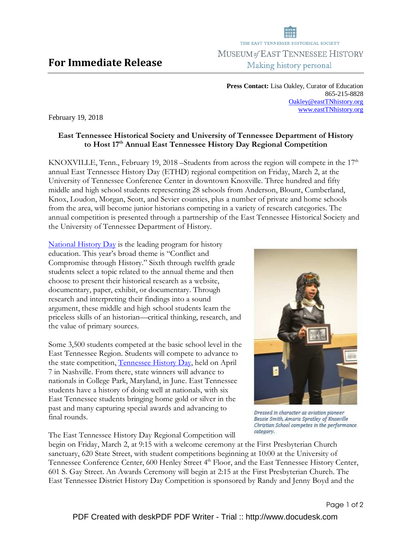## For Immediate Release

**Press Contact:** Lisa Oakley, Curator of Education 865-215-8828 Oakley@eastTNhistory.org www.eastTNhistory.org

February 19, 2018

## East Tennessee Historical Society and University of Tennessee Department of History to Host 17<sup>th</sup> Annual East Tennessee History Day Regional Competition

KNOXVILLE, Tenn., February 19, 2018 –Students from across the region will compete in the  $17<sup>th</sup>$ annual East Tennessee History Day (ETHD) regional competition on Friday, March 2, at the University of Tennessee Conference Center in downtown Knoxville. Three hundred and fifty middle and high school students representing 28 schools from Anderson, Blount, Cumberland, Knox, Loudon, Morgan, Scott, and Sevier counties, plus a number of private and home schools from the area, will become junior historians competing in a variety of research categories. The annual competition is presented through a partnership of the East Tennessee Historical Society and the University of Tennessee Department of History.

National History Day is the leading program for history education. This year's broad theme is "Conflict and Compromise through History." Sixth through twelfth grade students select a topic related to the annual theme and then choose to present their historical research as a website, documentary, paper, exhibit, or documentary. Through research and interpreting their findings into a sound argument, these middle and high school students learn the priceless skills of an historian—critical thinking, research, and the value of primary sources.

Some 3,500 students competed at the basic school level in the East Tennessee Region. Students will compete to advance to the state competition, Tennessee History Day, held on April 7 in Nashville. From there, state winners will advance to nationals in College Park, Maryland, in June. East Tennessee students have a history of doing well at nationals, with six East Tennessee students bringing home gold or silver in the past and many capturing special awards and advancing to final rounds.

The East Tennessee History Day Regional Competition will

begin on Friday, March 2, at 9:15 with a welcome ceremony at the First Presbyterian Church sanctuary, 620 State Street, with student competitions beginning at 10:00 at the University of Tennessee Conference Center, 600 Henley Street 4<sup>th</sup> Floor, and the East Tennessee History Center, 601 S. Gay Street. An Awards Ceremony will begin at 2:15 at the First Presbyterian Church. The East Tennessee District History Day Competition is sponsored by Randy and Jenny Boyd and the



Dressed in character as aviation pioneer Bessie Smith, Amaris Spratley of Knoxville Christian School competes in the performance category.